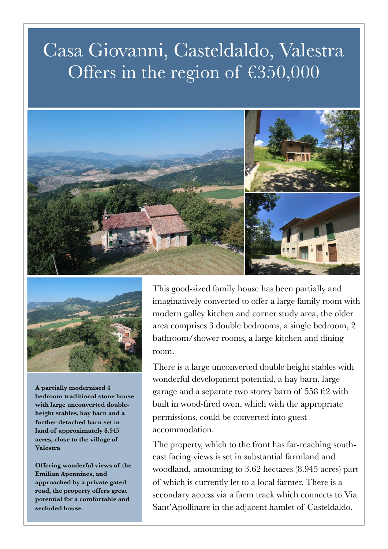## Casa Giovanni, Casteldaldo, Valestra Offers in the region of  $£350,000$





**A partially modernised 4 bedroom traditional stone house with large unconverted doubleheight stables, hay barn and a further detached barn set in land of approximately 8.945 acres, close to the village of Valestra** 

**Offering wonderful views of the Emilian Apennines, and approached by a private gated road, the property offers great potential for a comfortable and secluded house.** 

This good-sized family house has been partially and imaginatively converted to offer a large family room with modern galley kitchen and corner study area, the older area comprises 3 double bedrooms, a single bedroom, 2 bathroom/shower rooms, a large kitchen and dining room.

There is a large unconverted double height stables with wonderful development potential, a hay barn, large garage and a separate two storey barn of 558 ft2 with built in wood-fired oven, which with the appropriate permissions, could be converted into guest accommodation.

The property, which to the front has far-reaching southeast facing views is set in substantial farmland and woodland, amounting to 3.62 hectares (8.945 acres) part of which is currently let to a local farmer. There is a secondary access via a farm track which connects to Via Sant'Apollinare in the adjacent hamlet of Casteldaldo.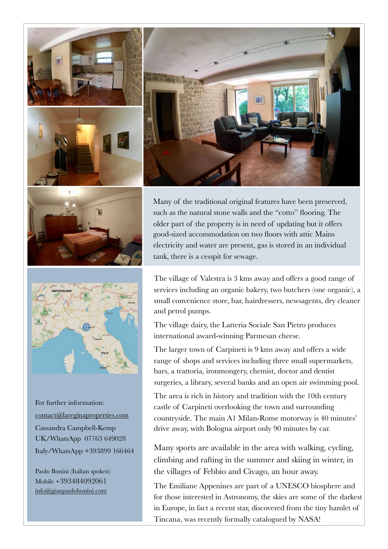







For further information: [contact@lareginaproperties.com](http://www.apple.com) Cassandra Campbell-Kemp UK/WhatsApp07763 649028 Italy/WhatsApp +393899 166464

Paolo Bonini (Italian spoken) Mobile +393484092061 [info@gianpaolobonini.com](http://www.apple.com)

Many of the traditional original features have been preserved, such as the natural stone walls and the "cotto" flooring. The older part of the property is in need of updating but it offers good-sized accommodation on two floors with attic Mains electricity and water are present, gas is stored in an individual tank, there is a cesspit for sewage.

The village of Valestra is 3 kms away and offers a good range of services including an organic bakery, two butchers (one organic), a small convenience store, bar, hairdressers, newsagents, dry cleaner and petrol pumps.

The village dairy, the Latteria Sociale San Pietro produces international award-winning Parmesan cheese.

The larger town of Carpineti is 9 kms away and offers a wide range of shops and services including three small supermarkets, bars, a trattoria, ironmongery, chemist, doctor and dentist surgeries, a library, several banks and an open air swimming pool.

The area is rich in history and tradition with the 10th century castle of Carpineti overlooking the town and surrounding countryside. The main A1 Milan-Rome motorway is 40 minutes' drive away, with Bologna airport only 90 minutes by car.

Many sports are available in the area with walking, cycling, climbing and rafting in the summer and skiing in winter, in the villages of Febbio and Civago, an hour away.

The Emiliane Appenines are part of a UNESCO biosphere and for those interested in Astronomy, the skies are some of the darkest in Europe, in fact a recent star, discovered from the tiny hamlet of Tincana, was recently formally catalogued by NASA!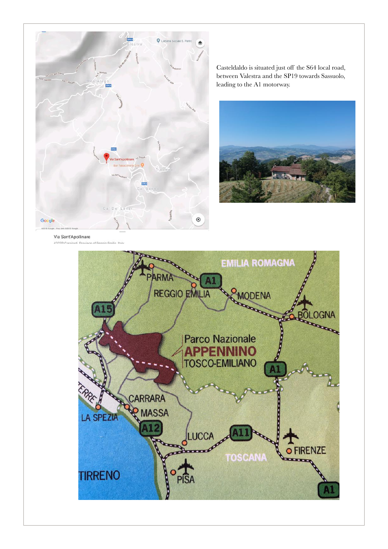

Casteldaldo is situated just off the S64 local road, between Valestra and the SP19 towards Sassuolo, leading to the A1 motorway.



Via Sant'Apollinare

42022 Caminati Br